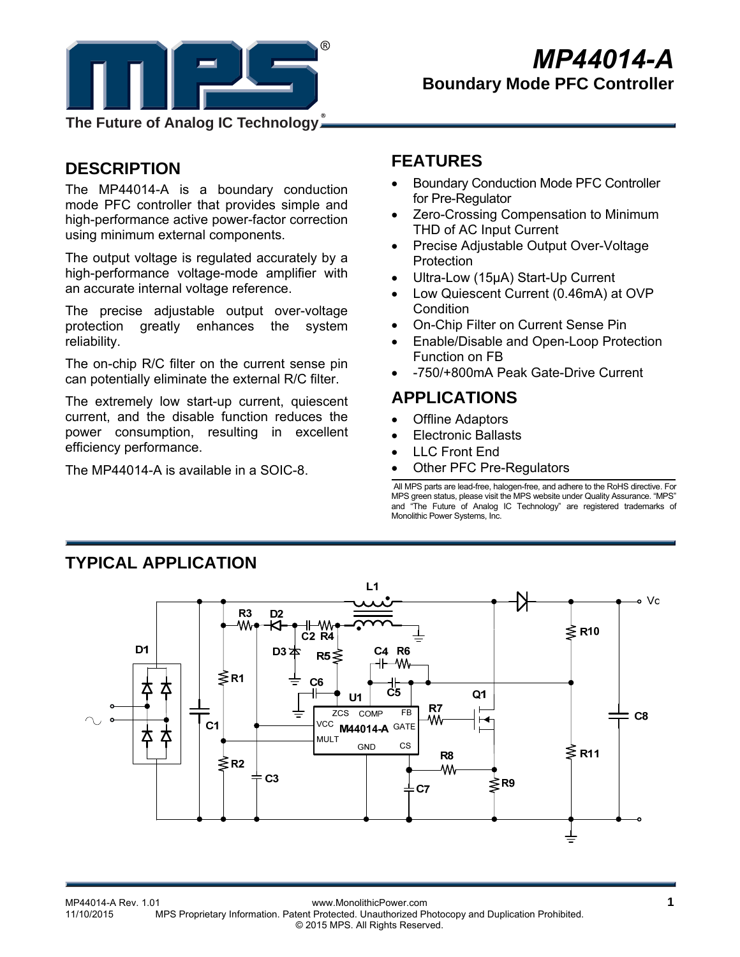

**The Future of Analog IC Technology**

# **DESCRIPTION**

The MP44014-A is a boundary conduction mode PFC controller that provides simple and high-performance active power-factor correction using minimum external components.

The output voltage is regulated accurately by a high-performance voltage-mode amplifier with an accurate internal voltage reference.

The precise adjustable output over-voltage protection greatly enhances the system reliability.

The on-chip R/C filter on the current sense pin can potentially eliminate the external R/C filter.

The extremely low start-up current, quiescent current, and the disable function reduces the power consumption, resulting in excellent efficiency performance.

The MP44014-A is available in a SOIC-8.

# **FEATURES**

- Boundary Conduction Mode PFC Controller for Pre-Regulator
- Zero-Crossing Compensation to Minimum THD of AC Input Current
- Precise Adjustable Output Over-Voltage Protection
- Ultra-Low (15μA) Start-Up Current
- Low Quiescent Current (0.46mA) at OVP **Condition**
- On-Chip Filter on Current Sense Pin
- Enable/Disable and Open-Loop Protection Function on FB
- -750/+800mA Peak Gate-Drive Current

# **APPLICATIONS**

- Offline Adaptors
- Electronic Ballasts
- LLC Front End
- Other PFC Pre-Regulators

 All MPS parts are lead-free, halogen-free, and adhere to the RoHS directive. For MPS green status, please visit the MPS website under Quality Assurance. "MPS" and "The Future of Analog IC Technology" are registered trademarks of Monolithic Power Systems, Inc.



# **TYPICAL APPLICATION**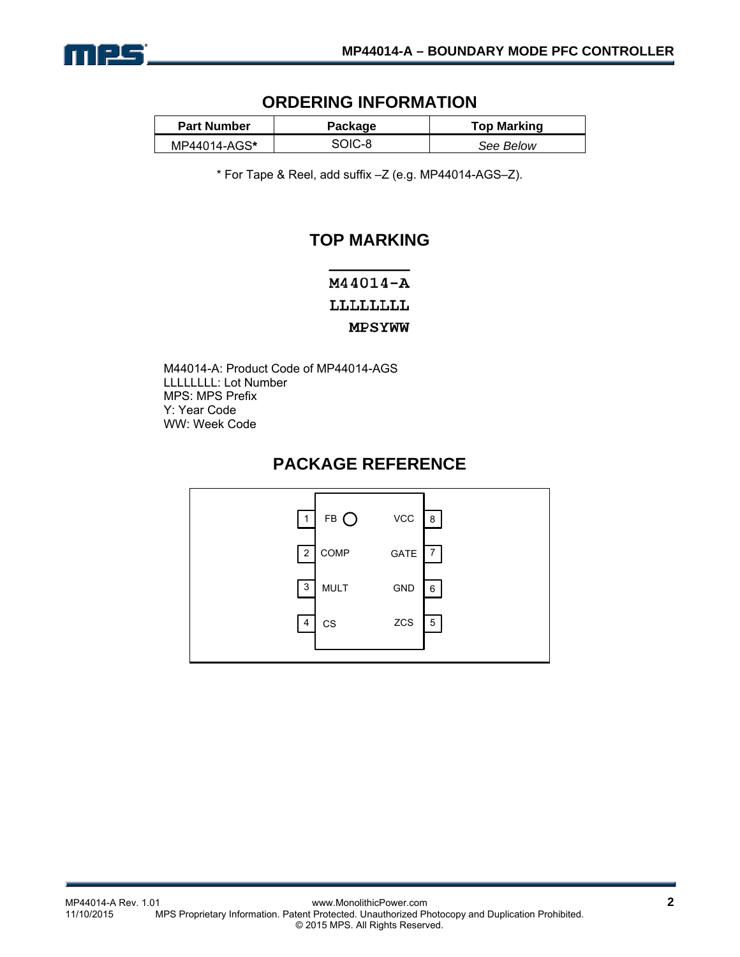

## **ORDERING INFORMATION**

| <b>Part Number</b> | Package | <b>Top Marking</b> |
|--------------------|---------|--------------------|
| MP44014-AGS*       | SOIC-8  | See Below          |

\* For Tape & Reel, add suffix –Z (e.g. MP44014-AGS–Z).

### **TOP MARKING**

M44014-A LLLLLLLL

**MPSYWW** 

M44014-A: Product Code of MP44014-AGS LLLLLLLL: Lot Number MPS: MPS Prefix Y: Year Code WW: Week Code

# **PACKAGE REFERENCE**

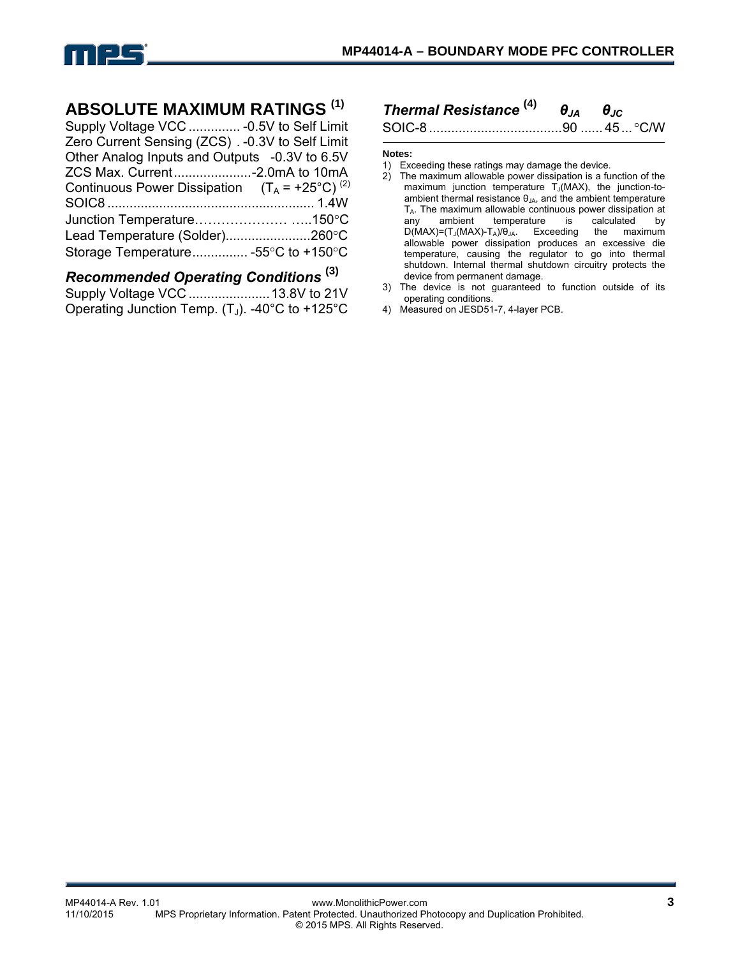

# **ABSOLUTE MAXIMUM RATINGS (1)**

| Supply Voltage VCC  - 0.5V to Self Limit<br>Zero Current Sensing (ZCS) . - 0.3V to Self Limit |  |
|-----------------------------------------------------------------------------------------------|--|
| Other Analog Inputs and Outputs -0.3V to 6.5V                                                 |  |
| ZCS Max. Current-2.0mA to 10mA                                                                |  |
| Continuous Power Dissipation $(T_A = +25^{\circ}C)^{(2)}$                                     |  |
|                                                                                               |  |
|                                                                                               |  |
| Lead Temperature (Solder)260°C                                                                |  |
| Storage Temperature -55°C to +150°C                                                           |  |

# *Recommended Operating Conditions* **(3)**

Supply Voltage VCC ......................13.8V to 21V Operating Junction Temp. (T<sub>J</sub>). -40°C to +125°C

# *Thermal Resistance* **(4)** *θJA θJC*

SOIC-8 ....................................90 ...... 45... C/W

#### **Notes:**

- 1) Exceeding these ratings may damage the device.
- 2) The maximum allowable power dissipation is a function of the maximum junction temperature  $T_J(MAX)$ , the junction-toambient thermal resistance  $\theta_{JA}$ , and the ambient temperature  $T_A$ . The maximum allowable continuous power dissipation at any ambient temperature is calculated by temperature is calculate temperature is calculate temperature.  $D(MAX)=(T_J(MAX)-T_A)/\theta_{JA}$ . Exceeding the maximum allowable power dissipation produces an excessive die temperature, causing the regulator to go into thermal shutdown. Internal thermal shutdown circuitry protects the device from permanent damage.
- 3) The device is not guaranteed to function outside of its operating conditions.
- 4) Measured on JESD51-7, 4-layer PCB.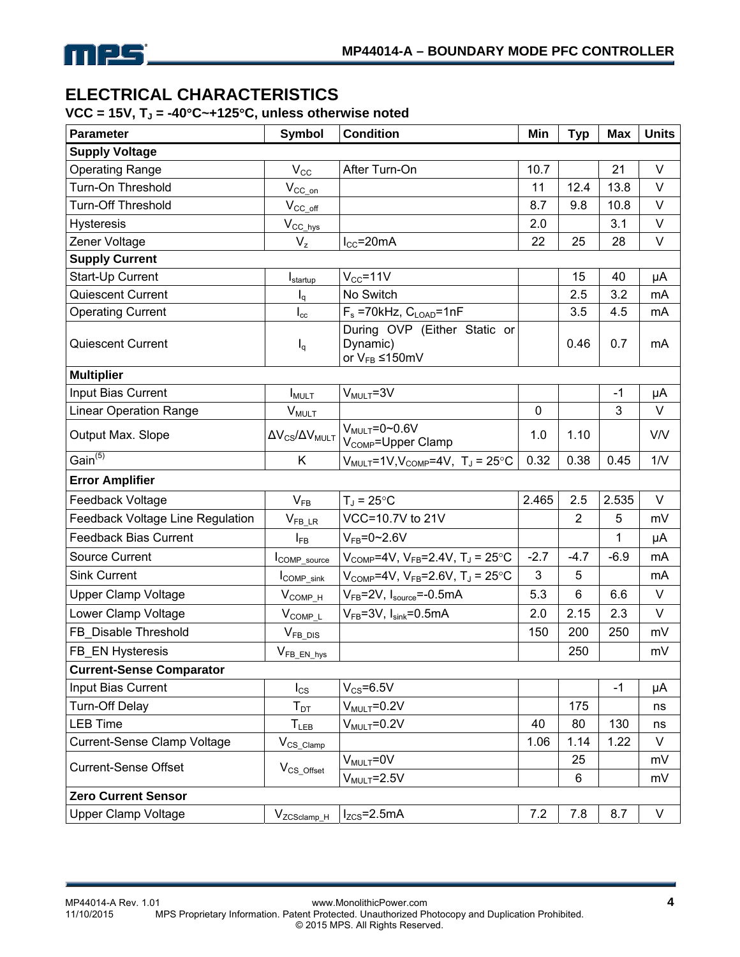

# **ELECTRICAL CHARACTERISTICS**

### **VCC = 15V, TJ = -40C~+125C, unless otherwise noted**

| Parameter                          | <b>Symbol</b>                   | <b>Condition</b>                                                    | Min    | <b>Typ</b>     | <b>Max</b> | <b>Units</b> |
|------------------------------------|---------------------------------|---------------------------------------------------------------------|--------|----------------|------------|--------------|
| <b>Supply Voltage</b>              |                                 |                                                                     |        |                |            |              |
| <b>Operating Range</b>             | $V_{\rm CC}$                    | After Turn-On                                                       | 10.7   |                | 21         | V            |
| Turn-On Threshold                  | $V_{CC\_on}$                    |                                                                     | 11     | 12.4           | 13.8       | $\vee$       |
| Turn-Off Threshold                 | $V_{CC\_off}$                   |                                                                     | 8.7    | 9.8            | 10.8       | V            |
| <b>Hysteresis</b>                  | $V_{CC\_hys}$                   |                                                                     | 2.0    |                | 3.1        | $\vee$       |
| Zener Voltage                      | $V_{z}$                         | $I_{CC}$ =20mA                                                      | 22     | 25             | 28         | V            |
| <b>Supply Current</b>              |                                 |                                                                     |        |                |            |              |
| Start-Up Current                   | $I_{\text{startup}}$            | $V_{CC} = 11V$                                                      |        | 15             | 40         | μA           |
| Quiescent Current                  | $I_q$                           | No Switch                                                           |        | 2.5            | 3.2        | mA           |
| <b>Operating Current</b>           | $I_{\rm cc}$                    | $F_s = 70$ kHz, $C_{LOAD} = 1$ nF                                   |        | 3.5            | 4.5        | mA           |
| <b>Quiescent Current</b>           | $I_q$                           | During OVP (Either Static or<br>Dynamic)<br>or $V_{FB} \leq 150$ mV |        | 0.46           | 0.7        | mA           |
| <b>Multiplier</b>                  |                                 |                                                                     |        |                |            |              |
| Input Bias Current                 | $I_{MULT}$                      | $V_{MULT} = 3V$                                                     |        |                | $-1$       | μA           |
| <b>Linear Operation Range</b>      | $V_{MULT}$                      |                                                                     | 0      |                | 3          | $\vee$       |
| Output Max. Slope                  | $\Delta V_{CS}/\Delta V_{MULT}$ | $V_{MULT} = 0 - 0.6V$<br>$V_{\text{COMP}}$ =Upper Clamp             | 1.0    | 1.10           |            | V/V          |
| Gain <sup>(5)</sup>                | K                               | $V_{MULT}$ =1V,V <sub>COMP</sub> =4V, T <sub>J</sub> = 25°C         | 0.32   | 0.38           | 0.45       | 1/V          |
| <b>Error Amplifier</b>             |                                 |                                                                     |        |                |            |              |
| Feedback Voltage                   | $V_{FB}$                        | $T_J = 25^{\circ}C$                                                 | 2.465  | 2.5            | 2.535      | V            |
| Feedback Voltage Line Regulation   | $V_{\text{FB\_LR}}$             | VCC=10.7V to 21V                                                    |        | $\overline{2}$ | 5          | mV           |
| <b>Feedback Bias Current</b>       | $I_{FB}$                        | $V_{FB} = 0 - 2.6V$                                                 |        |                | 1          | μA           |
| <b>Source Current</b>              | COMP_source                     | $V_{\text{COMP}}$ =4V, V <sub>FB</sub> =2.4V, T <sub>J</sub> = 25°C | $-2.7$ | $-4.7$         | $-6.9$     | mA           |
| <b>Sink Current</b>                | $I_{COMP\_sink}$                | $V_{\text{COMP}}$ =4V, V <sub>FB</sub> =2.6V, T <sub>J</sub> = 25°C | 3      | 5              |            | mA           |
| <b>Upper Clamp Voltage</b>         | $V_{COMP_H}$                    | $V_{FB}$ =2V, $I_{source}$ =-0.5mA                                  | 5.3    | 6              | 6.6        | $\vee$       |
| Lower Clamp Voltage                | $V_{COMP\_L}$                   | $V_{FB} = 3V$ , $I_{sink} = 0.5mA$                                  | 2.0    | 2.15           | 2.3        | $\vee$       |
| FB Disable Threshold               | V <sub>FB DIS</sub>             |                                                                     | 150    | 200            | 250        | mV           |
| FB_EN Hysteresis                   | $V_{\text{FB\_EN\_hys}}$        |                                                                     |        | 250            |            | mV           |
| <b>Current-Sense Comparator</b>    |                                 |                                                                     |        |                |            |              |
| Input Bias Current                 | $I_{CS}$                        | $V_{CS} = 6.5V$                                                     |        |                | $-1$       | μA           |
| <b>Turn-Off Delay</b>              | $T_{DT}$                        | $V_{MULT} = 0.2V$                                                   |        | 175            |            | ns           |
| <b>LEB Time</b>                    | $T_{LEB}$                       | $V_{MULT} = 0.2V$                                                   | 40     | 80             | 130        | ns           |
| <b>Current-Sense Clamp Voltage</b> | $V_{CS\_Clamp}$                 |                                                                     | 1.06   | 1.14           | 1.22       | V            |
| <b>Current-Sense Offset</b>        | $V_{CS\_Offset}$                | $V_{MULT} = 0V$                                                     |        | 25             |            | mV           |
|                                    |                                 | $V_{MULT}$ =2.5V                                                    |        | 6              |            | mV           |
| <b>Zero Current Sensor</b>         |                                 |                                                                     |        |                |            |              |
| <b>Upper Clamp Voltage</b>         | V <sub>ZCSclamp_H</sub>         | $I_{ZCS}$ =2.5mA                                                    | 7.2    | 7.8            | 8.7        | V            |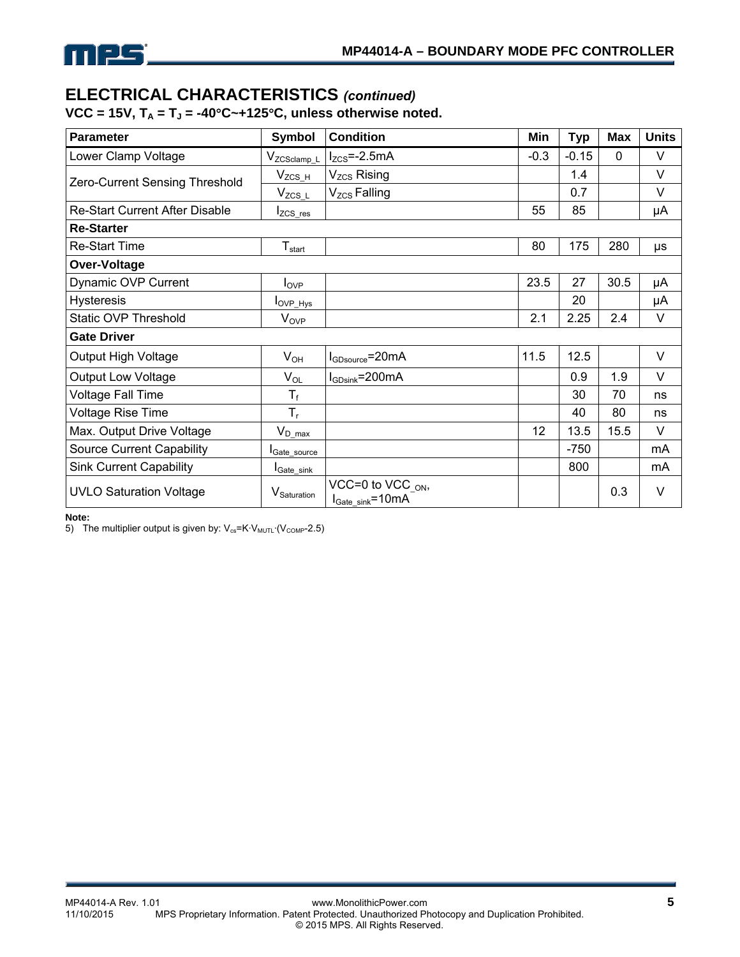

### **ELECTRICAL CHARACTERISTICS** *(continued)*

 $VCC = 15V$ ,  $T_A = T_J = -40^\circ C \sim +125^\circ C$ , unless otherwise noted.

| <b>Parameter</b>                                             | <b>Symbol</b>                | <b>Condition</b>                                                 | Min    | <b>Typ</b> | <b>Max</b> | <b>Units</b> |
|--------------------------------------------------------------|------------------------------|------------------------------------------------------------------|--------|------------|------------|--------------|
| Lower Clamp Voltage                                          | V <sub>ZCSclamp_L</sub>      | $I_{ZCS}$ =-2.5mA                                                | $-0.3$ | $-0.15$    | $\Omega$   | V            |
| Zero-Current Sensing Threshold                               | $V_{ZCS_H}$                  | $V_{ZCS}$ Rising                                                 |        | 1.4        |            | V            |
|                                                              | $V_{ZCS\_L}$                 | V <sub>zcs</sub> Falling                                         |        | 0.7        |            | V            |
| <b>Re-Start Current After Disable</b>                        | Izcs res                     |                                                                  | 55     | 85         |            | μA           |
| <b>Re-Starter</b>                                            |                              |                                                                  |        |            |            |              |
| <b>Re-Start Time</b>                                         | $T_{\text{start}}$           |                                                                  | 80     | 175        | 280        | μs           |
| Over-Voltage                                                 |                              |                                                                  |        |            |            |              |
| Dynamic OVP Current                                          | $I_{OVP}$                    |                                                                  | 23.5   | 27         | 30.5       | μA           |
| <b>Hysteresis</b>                                            | $I_{\text{OVP\_\text{Hys}}}$ |                                                                  |        | 20         |            | μA           |
| <b>Static OVP Threshold</b>                                  | $V_{OVP}$                    |                                                                  | 2.1    | 2.25       | 2.4        | V            |
| <b>Gate Driver</b>                                           |                              |                                                                  |        |            |            |              |
| Output High Voltage                                          | $V_{OH}$                     | $I_{GDsource} = 20mA$                                            | 11.5   | 12.5       |            | V            |
| <b>Output Low Voltage</b><br>$V_{OL}$                        |                              | $I_{\text{GDsink}}$ =200mA                                       |        | 0.9        | 1.9        | V            |
| Voltage Fall Time                                            | $T_f$                        |                                                                  |        | 30         | 70         | ns           |
| Voltage Rise Time<br>$T_{r}$                                 |                              |                                                                  |        | 40         | 80         | ns           |
| Max. Output Drive Voltage<br>$V_{D_{max}}$                   |                              |                                                                  | 12     | 13.5       | 15.5       | V            |
| <b>Source Current Capability</b><br>I <sub>Gate_source</sub> |                              |                                                                  |        | $-750$     |            | mA           |
| <b>Sink Current Capability</b><br>I <sub>Gate_sink</sub>     |                              |                                                                  |        | 800        |            | mA           |
| <b>UVLO Saturation Voltage</b>                               | $V_{\text{Saturation}}$      | VCC=0 to VCC $_{ON}$ ,<br>$I_{\text{Gate\_sink}} = 10 \text{mA}$ |        |            | 0.3        | V            |

**Note:** 

5) The multiplier output is given by:  $V_{cs} = K \cdot V_{MUTL} \cdot (V_{COMP} - 2.5)$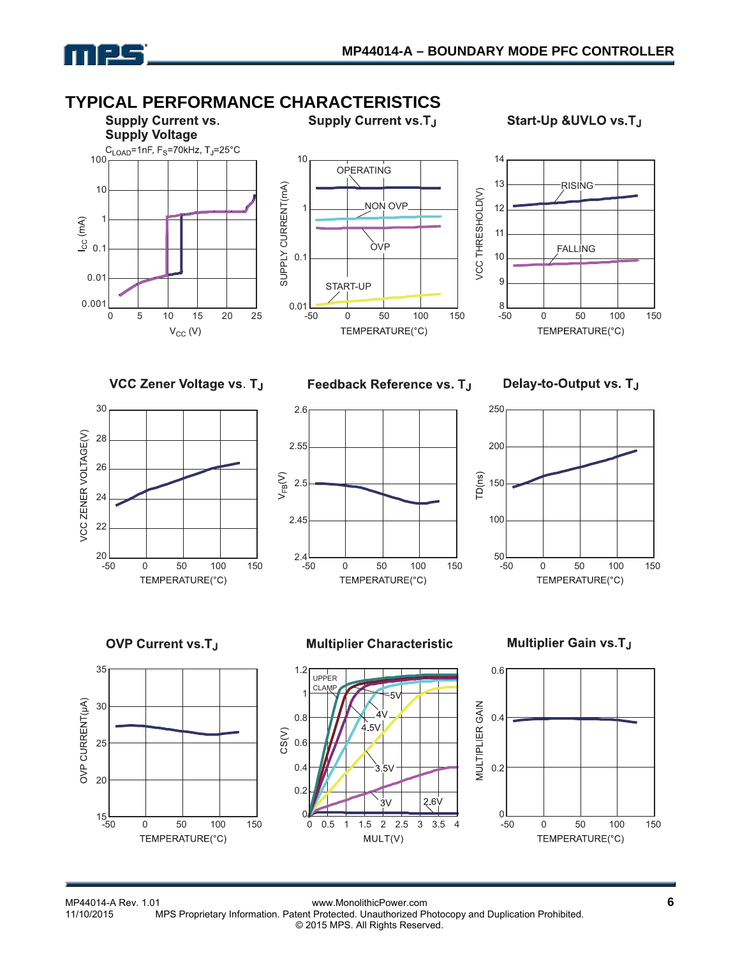

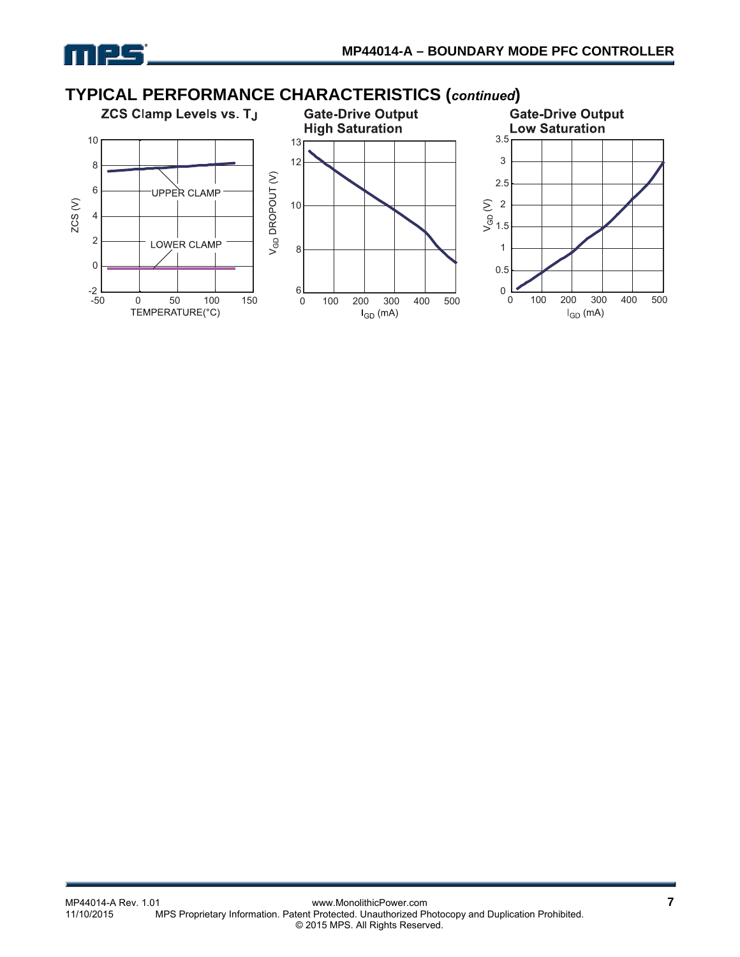

### **TYPICAL PERFORMANCE CHARACTERISTICS (***continued***)**

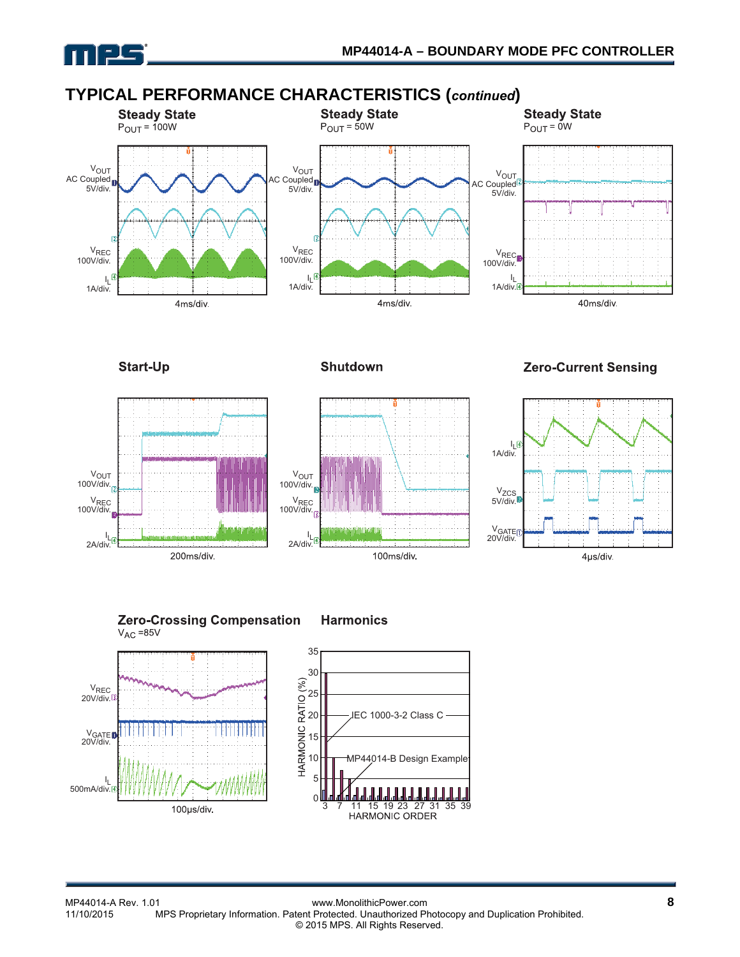

# **TYPICAL PERFORMANCE CHARACTERISTICS (***continued***)**



**Start-Up** 

**Shutdown** 





### **Zero-Current Sensing**



#### **Zero-Crossing Compensation Harmonics**  $V_{AC} = 85V$



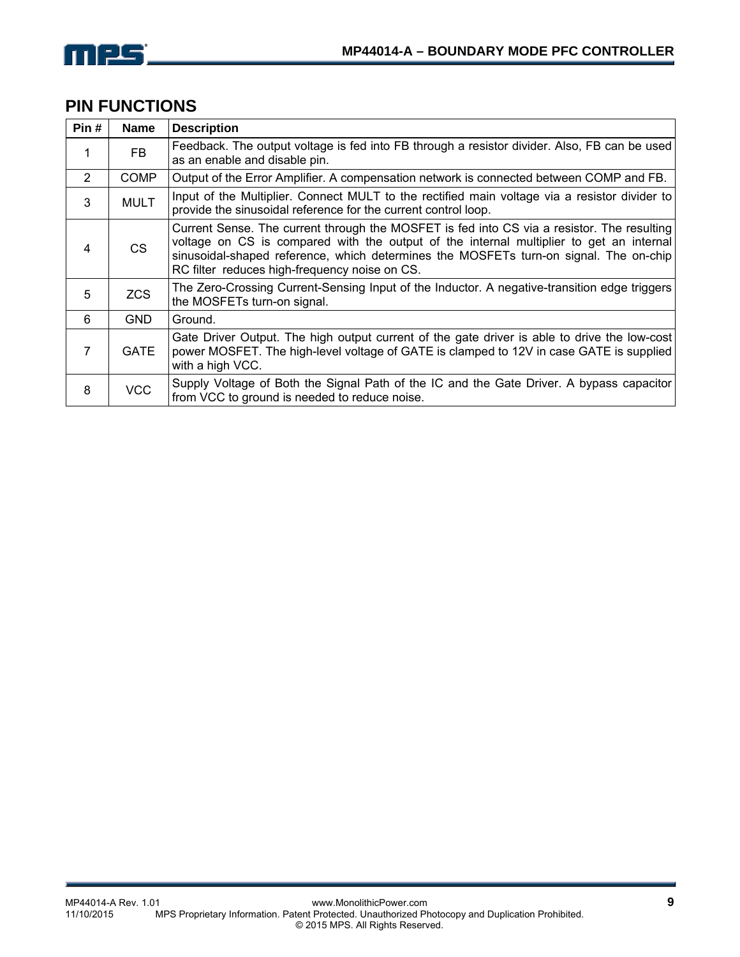

| Pin# | <b>Name</b> | <b>Description</b>                                                                                                                                                                                                                                                                                                              |
|------|-------------|---------------------------------------------------------------------------------------------------------------------------------------------------------------------------------------------------------------------------------------------------------------------------------------------------------------------------------|
| 1    | FB.         | Feedback. The output voltage is fed into FB through a resistor divider. Also, FB can be used<br>as an enable and disable pin.                                                                                                                                                                                                   |
| 2    | COMP        | Output of the Error Amplifier. A compensation network is connected between COMP and FB.                                                                                                                                                                                                                                         |
| 3    | <b>MULT</b> | Input of the Multiplier. Connect MULT to the rectified main voltage via a resistor divider to<br>provide the sinusoidal reference for the current control loop.                                                                                                                                                                 |
| 4    | <b>CS</b>   | Current Sense. The current through the MOSFET is fed into CS via a resistor. The resulting<br>voltage on CS is compared with the output of the internal multiplier to get an internal<br>sinusoidal-shaped reference, which determines the MOSFETs turn-on signal. The on-chip<br>RC filter reduces high-frequency noise on CS. |
| 5    | <b>ZCS</b>  | The Zero-Crossing Current-Sensing Input of the Inductor. A negative-transition edge triggers<br>the MOSFETs turn-on signal.                                                                                                                                                                                                     |
| 6    | <b>GND</b>  | Ground.                                                                                                                                                                                                                                                                                                                         |
| 7    | <b>GATE</b> | Gate Driver Output. The high output current of the gate driver is able to drive the low-cost<br>power MOSFET. The high-level voltage of GATE is clamped to 12V in case GATE is supplied<br>with a high VCC.                                                                                                                     |
| 8    | <b>VCC</b>  | Supply Voltage of Both the Signal Path of the IC and the Gate Driver. A bypass capacitor<br>from VCC to ground is needed to reduce noise.                                                                                                                                                                                       |

# **PIN FUNCTIONS**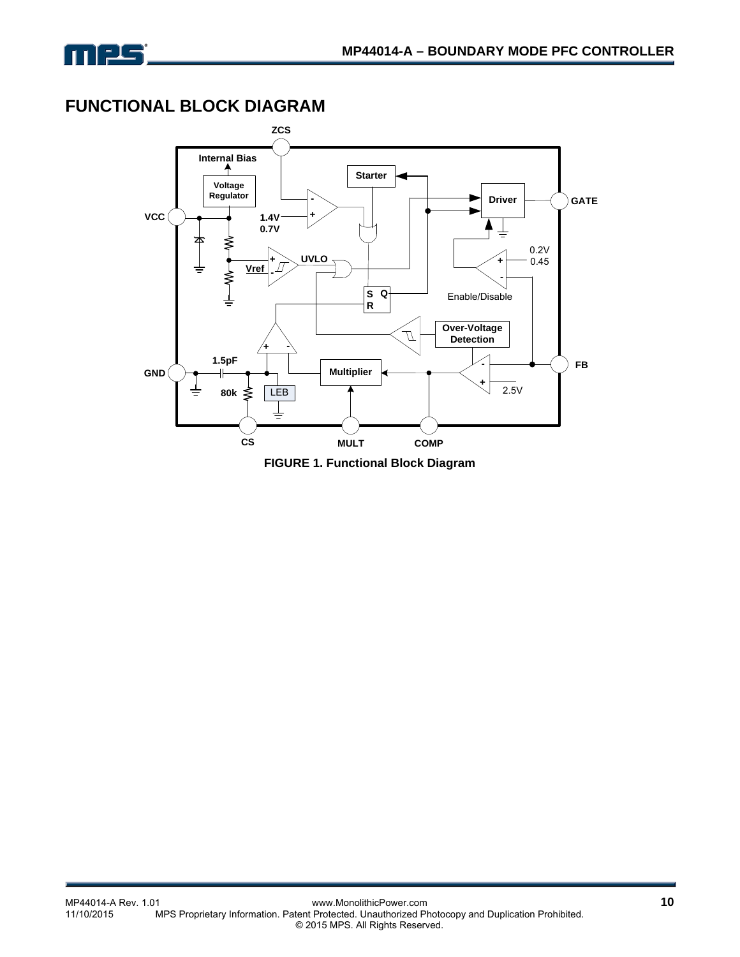

# **FUNCTIONAL BLOCK DIAGRAM**



**FIGURE 1. Functional Block Diagram**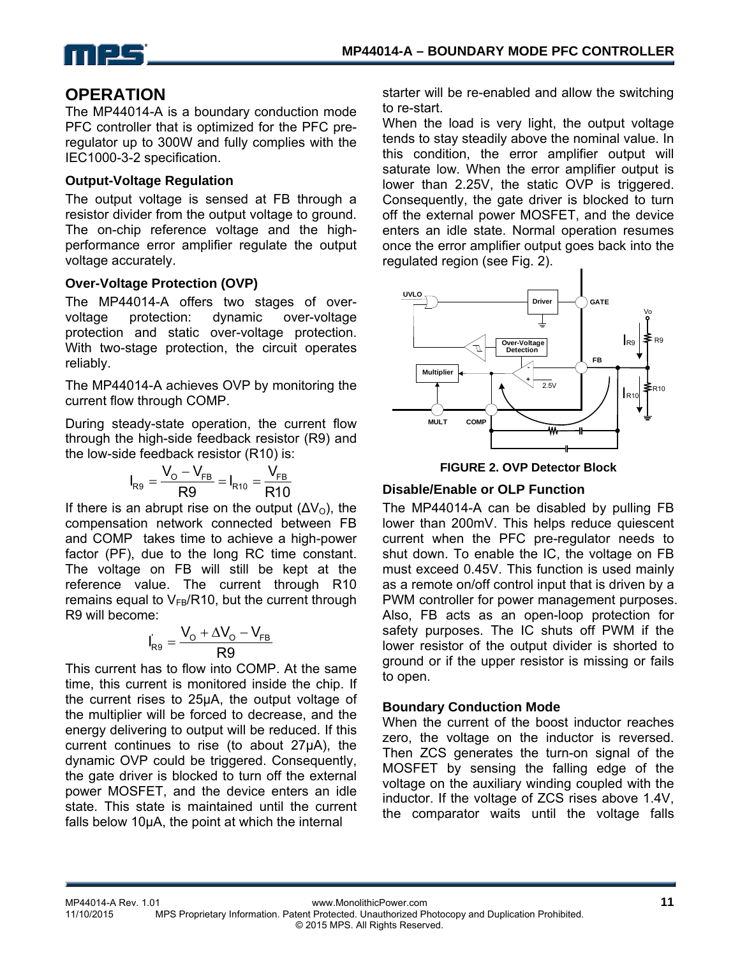

## **OPERATION**

The MP44014-A is a boundary conduction mode PFC controller that is optimized for the PFC preregulator up to 300W and fully complies with the IEC1000-3-2 specification.

#### **Output-Voltage Regulation**

The output voltage is sensed at FB through a resistor divider from the output voltage to ground. The on-chip reference voltage and the highperformance error amplifier regulate the output voltage accurately.

### **Over-Voltage Protection (OVP)**

The MP44014-A offers two stages of overvoltage protection: dynamic over-voltage protection and static over-voltage protection. With two-stage protection, the circuit operates reliably.

The MP44014-A achieves OVP by monitoring the current flow through COMP.

During steady-state operation, the current flow through the high-side feedback resistor (R9) and the low-side feedback resistor (R10) is:

$$
I_{R9} = \frac{V_{o} - V_{FB}}{R9} = I_{R10} = \frac{V_{FB}}{R10}
$$

If there is an abrupt rise on the output  $(\Delta V_0)$ , the compensation network connected between FB and COMP takes time to achieve a high-power factor (PF), due to the long RC time constant. The voltage on FB will still be kept at the reference value. The current through R10 remains equal to  $V_{FB}/R10$ , but the current through R9 will become:

$$
I_{R9}^{'} = \frac{V_{O} + \Delta V_{O} - V_{FB}}{R9}
$$

This current has to flow into COMP. At the same time, this current is monitored inside the chip. If the current rises to 25µA, the output voltage of the multiplier will be forced to decrease, and the energy delivering to output will be reduced. If this current continues to rise (to about 27µA), the dynamic OVP could be triggered. Consequently, the gate driver is blocked to turn off the external power MOSFET, and the device enters an idle state. This state is maintained until the current falls below 10µA, the point at which the internal

starter will be re-enabled and allow the switching to re-start.

When the load is very light, the output voltage tends to stay steadily above the nominal value. In this condition, the error amplifier output will saturate low. When the error amplifier output is lower than 2.25V, the static OVP is triggered. Consequently, the gate driver is blocked to turn off the external power MOSFET, and the device enters an idle state. Normal operation resumes once the error amplifier output goes back into the regulated region (see Fig. 2).





### **Disable/Enable or OLP Function**

The MP44014-A can be disabled by pulling FB lower than 200mV. This helps reduce quiescent current when the PFC pre-regulator needs to shut down. To enable the IC, the voltage on FB must exceed 0.45V. This function is used mainly as a remote on/off control input that is driven by a PWM controller for power management purposes. Also, FB acts as an open-loop protection for safety purposes. The IC shuts off PWM if the lower resistor of the output divider is shorted to ground or if the upper resistor is missing or fails to open.

#### **Boundary Conduction Mode**

When the current of the boost inductor reaches zero, the voltage on the inductor is reversed. Then ZCS generates the turn-on signal of the MOSFET by sensing the falling edge of the voltage on the auxiliary winding coupled with the inductor. If the voltage of ZCS rises above 1.4V, the comparator waits until the voltage falls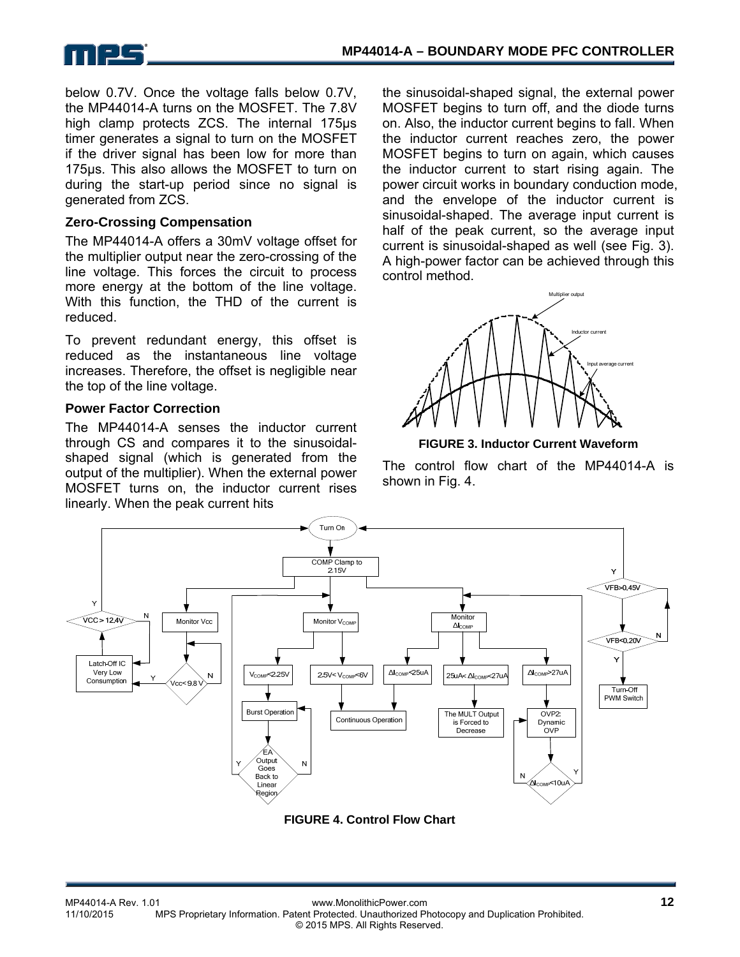

below 0.7V. Once the voltage falls below 0.7V, the MP44014-A turns on the MOSFET. The 7.8V high clamp protects ZCS. The internal 175µs timer generates a signal to turn on the MOSFET if the driver signal has been low for more than 175µs. This also allows the MOSFET to turn on during the start-up period since no signal is generated from ZCS.

#### **Zero-Crossing Compensation**

The MP44014-A offers a 30mV voltage offset for the multiplier output near the zero-crossing of the line voltage. This forces the circuit to process more energy at the bottom of the line voltage. With this function, the THD of the current is reduced.

To prevent redundant energy, this offset is reduced as the instantaneous line voltage increases. Therefore, the offset is negligible near the top of the line voltage.

#### **Power Factor Correction**

The MP44014-A senses the inductor current through CS and compares it to the sinusoidalshaped signal (which is generated from the output of the multiplier). When the external power MOSFET turns on, the inductor current rises linearly. When the peak current hits

the sinusoidal-shaped signal, the external power MOSFET begins to turn off, and the diode turns on. Also, the inductor current begins to fall. When the inductor current reaches zero, the power MOSFET begins to turn on again, which causes the inductor current to start rising again. The power circuit works in boundary conduction mode, and the envelope of the inductor current is sinusoidal-shaped. The average input current is half of the peak current, so the average input current is sinusoidal-shaped as well (see Fig. 3). A high-power factor can be achieved through this control method.



**FIGURE 3. Inductor Current Waveform** 

The control flow chart of the MP44014-A is shown in Fig. 4.